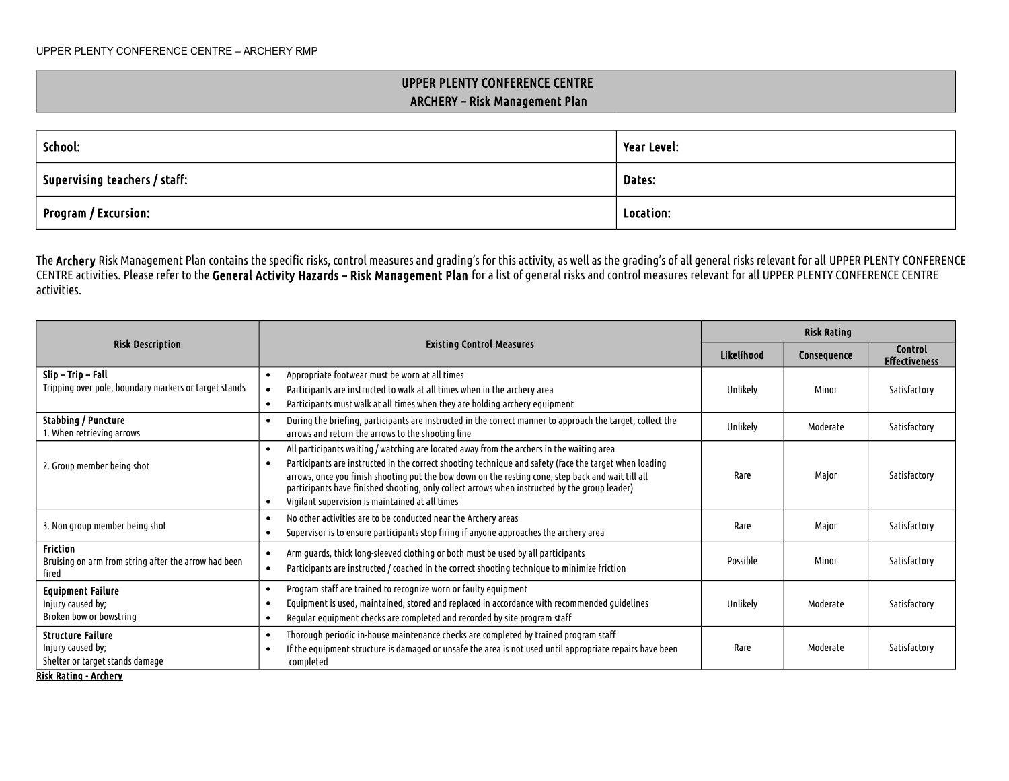## UPPER PLENTY CONFERENCE CENTRE ARCHERY – Risk Management Plan

| School:                                     | Year Level: |  |
|---------------------------------------------|-------------|--|
| $^\mathrm{+}$ Supervising teachers / staff: | Dates:      |  |
| Program / Excursion:                        | Location:   |  |

The Archery Risk Management Plan contains the specific risks, control measures and grading's for this activity, as well as the grading's of all general risks relevant for all UPPER PLENTY CONFERENCE CENTRE activities. Please refer to the General Activity Hazards – Risk Management Plan for a list of general risks and control measures relevant for all UPPER PLENTY CONFERENCE CENTRE activities.

|                                                                                                                                                                                                                                                                                                                                                                                                                                                                                             |                                                                                                                                                                                                            | <b>Risk Rating</b> |             |                                        |
|---------------------------------------------------------------------------------------------------------------------------------------------------------------------------------------------------------------------------------------------------------------------------------------------------------------------------------------------------------------------------------------------------------------------------------------------------------------------------------------------|------------------------------------------------------------------------------------------------------------------------------------------------------------------------------------------------------------|--------------------|-------------|----------------------------------------|
| <b>Risk Description</b><br><b>Existing Control Measures</b>                                                                                                                                                                                                                                                                                                                                                                                                                                 |                                                                                                                                                                                                            | Likelihood         | Consequence | <b>Control</b><br><b>Effectiveness</b> |
| Slip – Trip – Fall<br>Tripping over pole, boundary markers or target stands                                                                                                                                                                                                                                                                                                                                                                                                                 | Appropriate footwear must be worn at all times<br>Participants are instructed to walk at all times when in the archery area<br>Participants must walk at all times when they are holding archery equipment | Unlikely           | Minor       | Satisfactory                           |
| <b>Stabbing / Puncture</b><br>During the briefing, participants are instructed in the correct manner to approach the target, collect the<br>arrows and return the arrows to the shooting line<br>1. When retrieving arrows                                                                                                                                                                                                                                                                  |                                                                                                                                                                                                            | Unlikely           | Moderate    | Satisfactory                           |
| All participants waiting / watching are located away from the archers in the waiting area<br>Participants are instructed in the correct shooting technique and safety (face the target when loading<br>2. Group member being shot<br>arrows, once you finish shooting put the bow down on the resting cone, step back and wait till all<br>participants have finished shooting, only collect arrows when instructed by the group leader)<br>Vigilant supervision is maintained at all times |                                                                                                                                                                                                            | Rare               | Maior       | Satisfactory                           |
| 3. Non group member being shot                                                                                                                                                                                                                                                                                                                                                                                                                                                              | No other activities are to be conducted near the Archery areas<br>$\bullet$<br>Supervisor is to ensure participants stop firing if anyone approaches the archery area                                      | Rare               | Maior       | Satisfactory                           |
| <b>Friction</b><br>Arm guards, thick long-sleeved clothing or both must be used by all participants<br>Bruising on arm from string after the arrow had been<br>Participants are instructed / coached in the correct shooting technique to minimize friction<br>fired                                                                                                                                                                                                                        |                                                                                                                                                                                                            | Possible           | Minor       | Satisfactory                           |
| Program staff are trained to recognize worn or faulty equipment<br><b>Equipment Failure</b><br>Equipment is used, maintained, stored and replaced in accordance with recommended guidelines<br>Injury caused by;<br>Broken bow or bowstring<br>Regular equipment checks are completed and recorded by site program staff                                                                                                                                                                    |                                                                                                                                                                                                            | Unlikely           | Moderate    | Satisfactory                           |
| Thorough periodic in-house maintenance checks are completed by trained program staff<br><b>Structure Failure</b><br>Injury caused by;<br>If the equipment structure is damaged or unsafe the area is not used until appropriate repairs have been<br>Shelter or target stands damage<br>completed                                                                                                                                                                                           |                                                                                                                                                                                                            | Rare               | Moderate    | Satisfactory                           |

Risk Rating - Archery